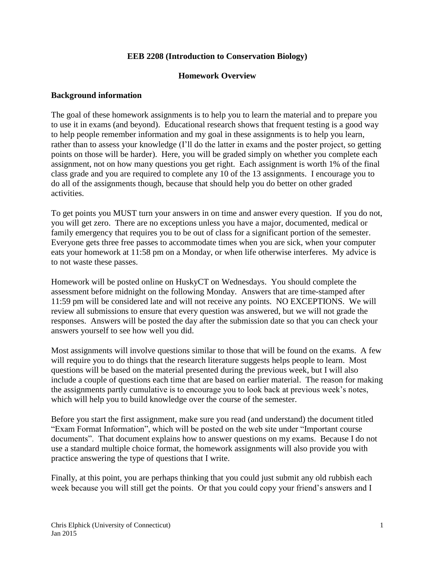## **EEB 2208 (Introduction to Conservation Biology)**

## **Homework Overview**

## **Background information**

The goal of these homework assignments is to help you to learn the material and to prepare you to use it in exams (and beyond). Educational research shows that frequent testing is a good way to help people remember information and my goal in these assignments is to help you learn, rather than to assess your knowledge (I'll do the latter in exams and the poster project, so getting points on those will be harder). Here, you will be graded simply on whether you complete each assignment, not on how many questions you get right. Each assignment is worth 1% of the final class grade and you are required to complete any 10 of the 13 assignments. I encourage you to do all of the assignments though, because that should help you do better on other graded activities.

To get points you MUST turn your answers in on time and answer every question. If you do not, you will get zero. There are no exceptions unless you have a major, documented, medical or family emergency that requires you to be out of class for a significant portion of the semester. Everyone gets three free passes to accommodate times when you are sick, when your computer eats your homework at 11:58 pm on a Monday, or when life otherwise interferes. My advice is to not waste these passes.

Homework will be posted online on HuskyCT on Wednesdays. You should complete the assessment before midnight on the following Monday. Answers that are time-stamped after 11:59 pm will be considered late and will not receive any points. NO EXCEPTIONS. We will review all submissions to ensure that every question was answered, but we will not grade the responses. Answers will be posted the day after the submission date so that you can check your answers yourself to see how well you did.

Most assignments will involve questions similar to those that will be found on the exams. A few will require you to do things that the research literature suggests helps people to learn. Most questions will be based on the material presented during the previous week, but I will also include a couple of questions each time that are based on earlier material. The reason for making the assignments partly cumulative is to encourage you to look back at previous week's notes, which will help you to build knowledge over the course of the semester.

Before you start the first assignment, make sure you read (and understand) the document titled "Exam Format Information", which will be posted on the web site under "Important course documents". That document explains how to answer questions on my exams. Because I do not use a standard multiple choice format, the homework assignments will also provide you with practice answering the type of questions that I write.

Finally, at this point, you are perhaps thinking that you could just submit any old rubbish each week because you will still get the points. Or that you could copy your friend's answers and I